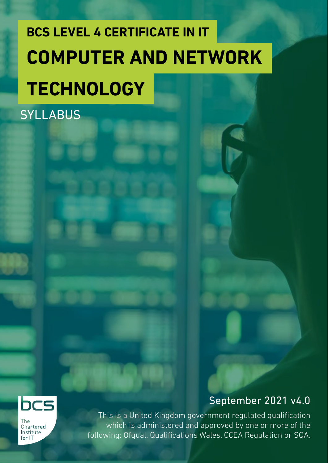# **BCS LEVEL 4 CERTIFICATE IN IT COMPUTER AND NETWORK TECHNOLOGY**

**SYLLABUS** 



The Chartered Institute  $for 1T$ 

### September 2021 v4.0

This is a United Kingdom government regulated qualification which is administered and approved by one or more of the following: Ofqual, Qualifications Wales, CCEA Regulation or SQA.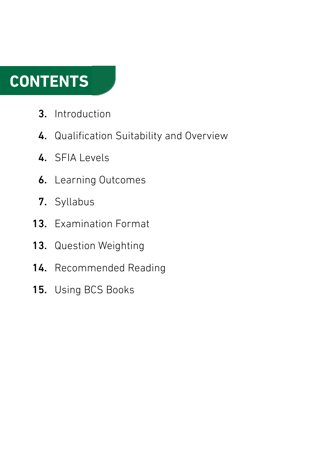### **CONTENTS**

- Introduction 3.
- 4. Qualification Suitability and Overview
- 4. SFIA Levels
- **6.** Learning Outcomes
- 7. Syllabus
- 13. Examination Format
- 13. Question Weighting
- 14. Recommended Reading
- 15. Using BCS Books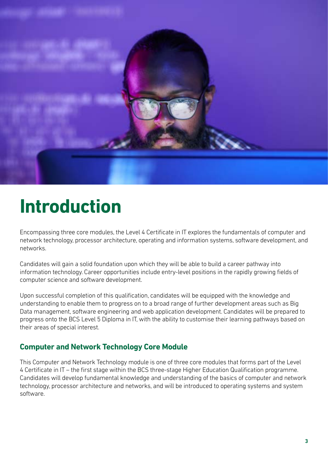

### **Introduction**

Encompassing three core modules, the Level 4 Certificate in IT explores the fundamentals of computer and network technology, processor architecture, operating and information systems, software development, and networks.

Candidates will gain a solid foundation upon which they will be able to build a career pathway into information technology. Career opportunities include entry-level positions in the rapidly growing fields of computer science and software development.

Upon successful completion of this qualification, candidates will be equipped with the knowledge and understanding to enable them to progress on to a broad range of further development areas such as Big Data management, software engineering and web application development. Candidates will be prepared to progress onto the BCS Level 5 Diploma in IT, with the ability to customise their learning pathways based on their areas of special interest.

#### **Computer and Network Technology Core Module**

This Computer and Network Technology module is one of three core modules that forms part of the Level 4 Certificate in IT – the first stage within the BCS three-stage Higher Education Qualification programme. Candidates will develop fundamental knowledge and understanding of the basics of computer and network technology, processor architecture and networks, and will be introduced to operating systems and system software.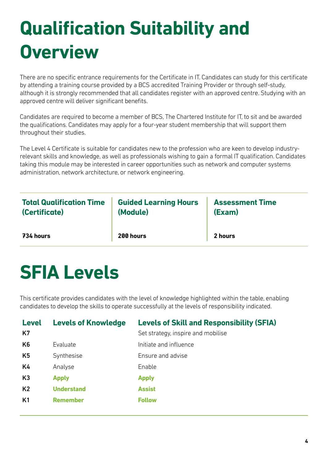### **Qualification Suitability and Overview**

There are no specific entrance requirements for the Certificate in IT. Candidates can study for this certificate by attending a training course provided by a BCS accredited Training Provider or through self-study, although it is strongly recommended that all candidates register with an approved centre. Studying with an approved centre will deliver significant benefits.

Candidates are required to become a member of BCS, The Chartered Institute for IT, to sit and be awarded the qualifications. Candidates may apply for a four-year student membership that will support them throughout their studies.

The Level 4 Certificate is suitable for candidates new to the profession who are keen to develop industryrelevant skills and knowledge, as well as professionals wishing to gain a formal IT qualification. Candidates taking this module may be interested in career opportunities such as network and computer systems administration, network architecture, or network engineering.

| <b>Total Qualification Time</b> | <b>Guided Learning Hours</b> | <b>Assessment Time</b> |
|---------------------------------|------------------------------|------------------------|
| (Certificate)                   | (Module)                     | (Exam)                 |
| 734 hours                       | 200 hours                    | 2 hours                |

### **SFIA Levels**

This certificate provides candidates with the level of knowledge highlighted within the table, enabling candidates to develop the skills to operate successfully at the levels of responsibility indicated.

| <b>Level</b><br>K7 | <b>Levels of Knowledge</b> | <b>Levels of Skill and Responsibility (SFIA)</b><br>Set strategy, inspire and mobilise |
|--------------------|----------------------------|----------------------------------------------------------------------------------------|
| K <sub>6</sub>     | Evaluate                   | Initiate and influence                                                                 |
| K <sub>5</sub>     | Synthesise                 | Ensure and advise                                                                      |
| K4                 | Analyse                    | Enable                                                                                 |
| K3                 | <b>Apply</b>               | <b>Apply</b>                                                                           |
| K <sub>2</sub>     | <b>Understand</b>          | <b>Assist</b>                                                                          |
| K <sub>1</sub>     | <b>Remember</b>            | <b>Follow</b>                                                                          |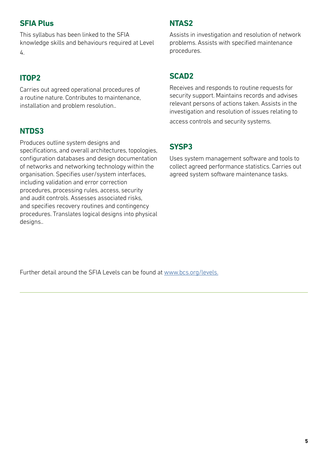#### **SFIA Plus**

This syllabus has been linked to the SFIA knowledge skills and behaviours required at Level 4.

#### **ITOP2**

Carries out agreed operational procedures of a routine nature. Contributes to maintenance, installation and problem resolution..

#### **NTDS3**

Produces outline system designs and specifications, and overall architectures, topologies, configuration databases and design documentation of networks and networking technology within the organisation. Specifies user/system interfaces, including validation and error correction procedures, processing rules, access, security and audit controls. Assesses associated risks, and specifies recovery routines and contingency procedures. Translates logical designs into physical desians..

#### **NTAS2**

Assists in investigation and resolution of network problems. Assists with specified maintenance procedures.

#### **SCAD2**

Receives and responds to routine requests for security support. Maintains records and advises relevant persons of actions taken. Assists in the investigation and resolution of issues relating to access controls and security systems.

#### **SYSP3**

Uses system management software and tools to collect agreed performance statistics. Carries out agreed system software maintenance tasks.

Further detail around the SFIA Levels can be found at [www.bcs.org/levels.](https://www.bcs.org/media/5165/sfia-levels-knowledge.pdf)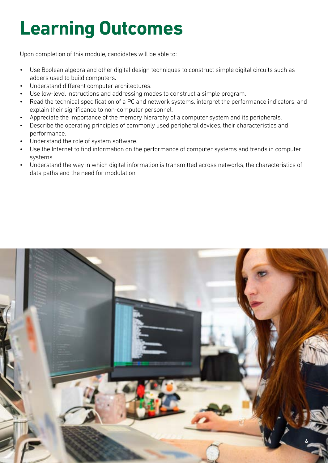## **Learning Outcomes**

Upon completion of this module, candidates will be able to:

- Use Boolean algebra and other digital design techniques to construct simple digital circuits such as adders used to build computers.
- Understand different computer architectures.
- Use low-level instructions and addressing modes to construct a simple program.
- Read the technical specification of a PC and network systems, interpret the performance indicators, and explain their significance to non-computer personnel.
- Appreciate the importance of the memory hierarchy of a computer system and its peripherals.
- Describe the operating principles of commonly used peripheral devices, their characteristics and performance.
- Understand the role of system software.
- Use the Internet to find information on the performance of computer systems and trends in computer systems.
- Understand the way in which digital information is transmitted across networks, the characteristics of data paths and the need for modulation.

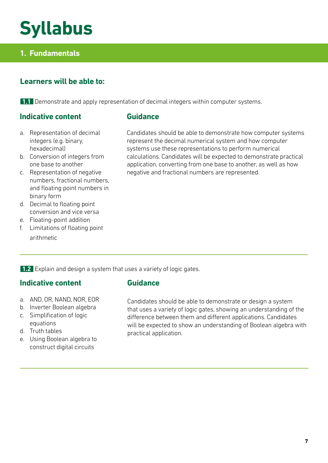### **Syllabus**

#### **1. Fundamentals**

#### **Learners will be able to:**

**1.1** Demonstrate and apply representation of decimal integers within computer systems.

#### **Indicative content**

- **Guidance**
- a. Representation of decimal integers (e.g. binary, hexadecimal)
- b. Conversion of integers from one base to another
- c. Representation of negative numbers, fractional numbers, and floating point numbers in binary form
- d. Decimal to floating point conversion and vice versa
- e. Floating-point addition
- f. Limitations of floating point arithmetic

Candidates should be able to demonstrate how computer systems represent the decimal numerical system and how computer systems use these representations to perform numerical calculations. Candidates will be expected to demonstrate practical application, converting from one base to another, as well as how negative and fractional numbers are represented.

**1.2** Explain and design a system that uses a variety of logic gates.

#### **Indicative content**

- a. AND, OR, NAND, NOR, EOR
- b. Inverter Boolean algebra
- c. Simplification of logic equations
- d. Truth tables
- e. Using Boolean algebra to construct digital circuits

#### **Guidance**

Candidates should be able to demonstrate or design a system that uses a variety of logic gates, showing an understanding of the difference between them and different applications. Candidates will be expected to show an understanding of Boolean algebra with practical application.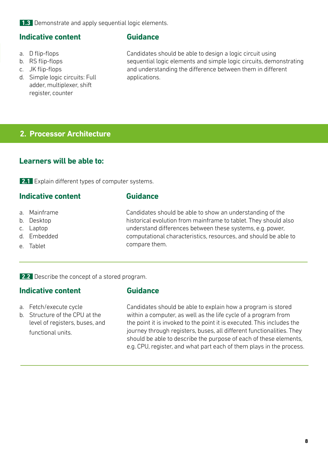**1.3** Demonstrate and apply sequential logic elements.

#### **Indicative content**

- a. D flip-flops
- b. RS flip-flops
- c. JK flip-flops
- d. Simple logic circuits: Full adder, multiplexer, shift register, counter

#### **Guidance**

**Guidance**

**Guidance**

Candidates should be able to design a logic circuit using sequential logic elements and simple logic circuits, demonstrating and understanding the difference between them in different applications.

#### **2. Processor Architecture**

#### **Learners will be able to:**

**2.1** Explain different types of computer systems.

#### **Indicative content**

- a. Mainframe
- b. Desktop
- c. Laptop
- d. Embedded
- e. Tablet

Candidates should be able to show an understanding of the historical evolution from mainframe to tablet. They should also understand differences between these systems, e.g. power, computational characteristics, resources, and should be able to compare them.

**2.2** Describe the concept of a stored program.

#### **Indicative content**

- a. Fetch/execute cycle
- b. Structure of the CPU at the level of registers, buses, and functional units.

Candidates should be able to explain how a program is stored within a computer, as well as the life cycle of a program from the point it is invoked to the point it is executed. This includes the journey through registers, buses, all different functionalities. They should be able to describe the purpose of each of these elements, e.g. CPU, register, and what part each of them plays in the process.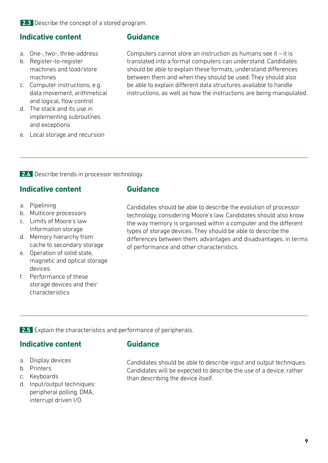**2.3** Describe the concept of a stored program.

#### **Indicative content**

- a. One-, two-, three-address
- b. Register-to-register machines and load/store machines
- c. Computer instructions, e.g. data movement, arithmetical and logical, flow control
- d. The stack and its use in implementing subroutines and exceptions
- e. Local storage and recursion

#### **Guidance**

Computers cannot store an instruction as humans see it – it is translated into a format computers can understand. Candidates should be able to explain these formats, understand differences between them and when they should be used. They should also be able to explain different data structures available to handle instructions, as well as how the instructions are being manipulated.

**2.4** Describe trends in processor technology.

#### **Indicative content**

- a. Pipelining
- b. Multicore processors
- c. Limits of Moore's law Information storage
- d. Memory hierarchy from cache to secondary storage
- e. Operation of solid state, magnetic and optical storage devices
- f. Performance of these storage devices and their characteristics

#### **Guidance**

Candidates should be able to describe the evolution of processor technology, considering Moore's law. Candidates should also know the way memory is organised within a computer and the different types of storage devices. They should be able to describe the differences between them, advantages and disadvantages, in terms of performance and other characteristics.

**2.5** Explain the characteristics and performance of peripherals.

#### **Indicative content**

- a. Display devices
- b. Printers
- c. Keyboards
- d. Input/output techniques: peripheral polling, DMA, interrupt driven I/O.

#### **Guidance**

Candidates should be able to describe input and output techniques. Candidates will be expected to describe the use of a device, rather than describing the device itself.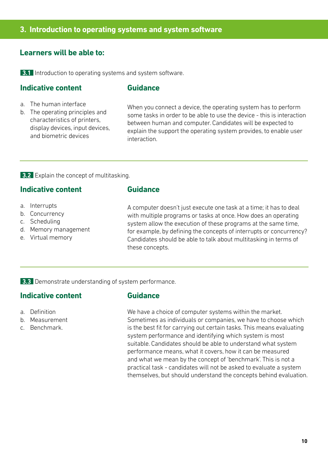#### **3. Introduction to operating systems and system software**

#### **Learners will be able to:**

**3.1** Introduction to operating systems and system software.

#### **Indicative content**

#### **Guidance**

- a. The human interface
- b. The operating principles and characteristics of printers, display devices, input devices, and biometric devices

When you connect a device, the operating system has to perform some tasks in order to be able to use the device - this is interaction between human and computer. Candidates will be expected to explain the support the operating system provides, to enable user interaction.

#### **3.2** Explain the concept of multitasking.

#### **Indicative content**

- a. Interrupts
- b. Concurrency
- c. Scheduling
- d. Memory management
- e. Virtual memory

#### **Guidance**

A computer doesn't just execute one task at a time; it has to deal with multiple programs or tasks at once. How does an operating system allow the execution of these programs at the same time, for example, by defining the concepts of interrupts or concurrency? Candidates should be able to talk about multitasking in terms of these concepts.

**3.3** Demonstrate understanding of system performance.

#### **Indicative content**

- a. Definition
- b. Measurement
- c. Benchmark.

#### **Guidance**

We have a choice of computer systems within the market. Sometimes as individuals or companies, we have to choose which is the best fit for carrying out certain tasks. This means evaluating system performance and identifying which system is most suitable. Candidates should be able to understand what system performance means, what it covers, how it can be measured and what we mean by the concept of 'benchmark'. This is not a practical task - candidates will not be asked to evaluate a system themselves, but should understand the concepts behind evaluation.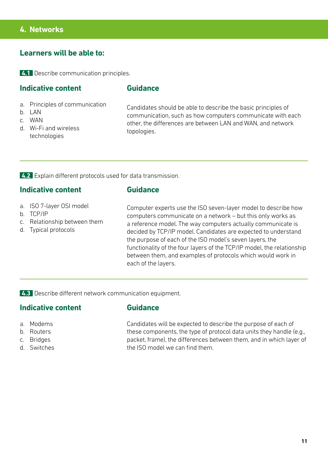#### **4. Networks**

#### **Learners will be able to:**

**4.1** Describe communication principles.

#### **Indicative content**

#### **Guidance**

- a. Principles of communication
- $h.$  LAN
- c. WAN
- d. Wi-Fi and wireless technologies

Candidates should be able to describe the basic principles of communication, such as how computers communicate with each other, the differences are between LAN and WAN, and network topologies.

**4.2** Explain different protocols used for data transmission.

#### **Indicative content**

#### **Guidance**

**Guidance**

- a. ISO 7-layer OSI model
- b. TCP/IP
- c. Relationship between them
- d. Typical protocols

Computer experts use the ISO seven-layer model to describe how computers communicate on a network – but this only works as a reference model. The way computers actually communicate is decided by TCP/IP model. Candidates are expected to understand the purpose of each of the ISO model's seven layers, the functionality of the four layers of the TCP/IP model, the relationship between them, and examples of protocols which would work in each of the layers.

**4.3** Describe different network communication equipment.

#### **Indicative content**

- a. Modems
- b. Routers
- c. Bridges
- d. Switches

Candidates will be expected to describe the purpose of each of these components, the type of protocol data units they handle (e.g., packet, frame), the differences between them, and in which layer of the ISO model we can find them.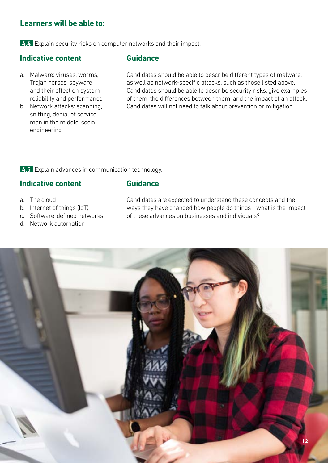#### **Learners will be able to:**

**4.4** Explain security risks on computer networks and their impact.

#### **Indicative content**

- a. Malware: viruses, worms, Trojan horses, spyware and their effect on system reliability and performance
- b. Network attacks: scanning, sniffing, denial of service, man in the middle, social engineering

#### **Guidance**

**Guidance**

Candidates should be able to describe different types of malware, as well as network-specific attacks, such as those listed above. Candidates should be able to describe security risks, give examples of them, the differences between them, and the impact of an attack. Candidates will not need to talk about prevention or mitigation.

**4.5** Explain advances in communication technology.

#### **Indicative content**

- a. The cloud
- b. Internet of things (IoT)
- c. Software-defined networks
- d. Network automation

Candidates are expected to understand these concepts and the ways they have changed how people do things - what is the impact of these advances on businesses and individuals?

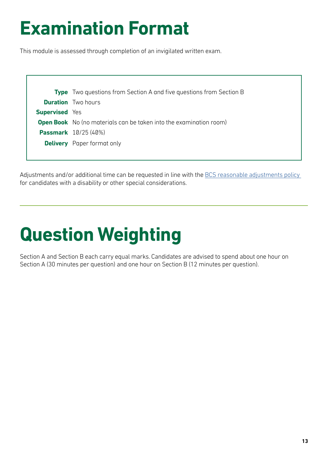### **Examination Format**

This module is assessed through completion of an invigilated written exam.

|                       | <b>Type</b> Two questions from Section A and five questions from Section B |
|-----------------------|----------------------------------------------------------------------------|
|                       | <b>Duration</b> Two hours                                                  |
| <b>Supervised</b> Yes |                                                                            |
|                       | <b>Open Book</b> No (no materials can be taken into the examination room)  |
|                       | <b>Passmark</b> 10/25 (40%)                                                |
|                       | <b>Delivery</b> Paper format only                                          |
|                       |                                                                            |

Adjustments and/or additional time can be requested in line with the BCS reasonable adjustments policy for candidates with a disability or other special considerations.

## **Question Weighting**

Section A and Section B each carry equal marks. Candidates are advised to spend about one hour on Section A (30 minutes per question) and one hour on Section B (12 minutes per question).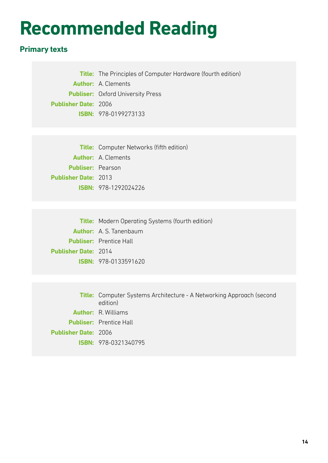### **Recommended Reading**

#### **Primary texts**

**Title:** The Principles of Computer Hardware (fourth edition) **Author:** A. Clements **Publiser:** Oxford University Press **Publisher Date:** 2006 **ISBN:** 978-0199273133

**Title:** Computer Networks (fifth edition) **Author:** A. Clements **Publiser:** Pearson **Publisher Date:** 2013 **ISBN:** 978-1292024226

**Title:** Modern Operating Systems (fourth edition) **Author:** A. S. Tanenbaum **Publiser:** Prentice Hall **Publisher Date:** 2014 **ISBN:** 978-0133591620

**Title:** Computer Systems Architecture - A Networking Approach (second edition) **Author:** R. Williams **Publiser:** Prentice Hall **Publisher Date:** 2006 **ISBN:** 978-0321340795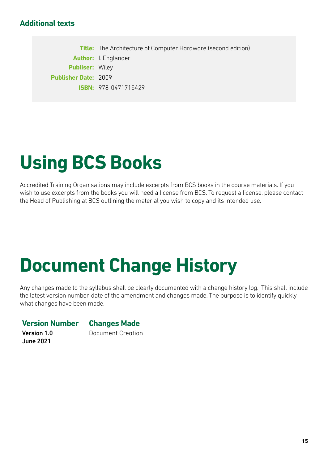#### **Additional texts**

**Title:** The Architecture of Computer Hardware (second edition) **Author:** I. Englander **Publiser:** Wiley **Publisher Date:** 2009 **ISBN:** 978-0471715429

## **Using BCS Books**

Accredited Training Organisations may include excerpts from BCS books in the course materials. If you wish to use excerpts from the books you will need a license from BCS. To request a license, please contact the Head of Publishing at BCS outlining the material you wish to copy and its intended use.

### **Document Change History**

Any changes made to the syllabus shall be clearly documented with a change history log. This shall include the latest version number, date of the amendment and changes made. The purpose is to identify quickly what changes have been made.

#### **Version Number Changes Made**

Version 1.0 June 2021

Document Creation